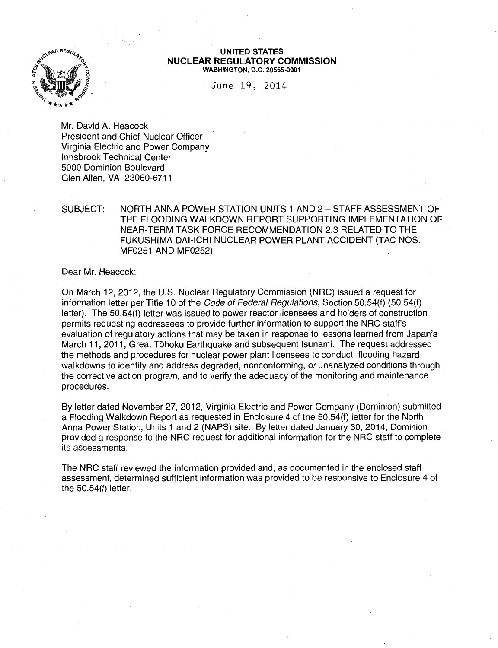

#### UNITED STATES NUCLEAR REGULATORY COMMISSION WASHINGTON, D.C. 20555-0001

June 19, 2014

Mr. David A. Heacock President and Chief Nuclear Officer Virginia Electric and Power Company lnnsbrook Technical Center 5000 Dominion Boulevard Glen Allen, VA 23060-6711

# SUBJECT: NORTH ANNA POWER STATION UNITS 1 AND 2- STAFF ASSESSMENT OF THE FLOODING WALKDOWN REPORT SUPPORTING IMPLEMENTATION OF NEAR-TERM TASK FORCE RECOMMENDATION 2.3 RELATED TO THE FUKUSHIMA DAI-ICHI NUCLEAR POWER PLANT ACCIDENT (TAG NOS. MF0251 AND MF0252)

Dear Mr. Heacock:

On March 12, 2012, the U.S. Nuclear Regulatory Commission (NRC) issued a request for information letter per Title 10 of the Code of Federal Regulations, Section 50.54(f) (50.54(f) letter). The 50.54(f) letter was issued to power reactor licensees and holders of construction permits requesting addressees to provide further information to support the NRC staff's evaluation of regulatory actions that may be taken in response to lessons learned from Japan's March 11, 2011, Great Tohoku Earthquake and subsequent tsunami. The request addressed the methods and procedures for nuclear power plant licensees to conduct flooding hazard walkdowns to identify and address degraded, nonconforming, or unanalyzed conditions through the corrective action program, and to verify the adequacy of the monitoring and maintenance procedures.

By letter dated November 27, 2012, Virginia Electric and Power Company (Dominion) submitted a Flooding Walkdown Report as requested in Enclosure 4 of the 50.54(f) letter for the North Anna Power Station, Units 1 and 2 (NAPS) site. By letter dated January 30, 2014, Dominion provided a response to the NRC request for additional information for the NRC staff to complete its assessments.

The NRC staff reviewed the information provided and, as documented in the enclosed staff assessment, determined sufficient information was provided to be responsive to Enclosure 4 of the 50.54(f) letter.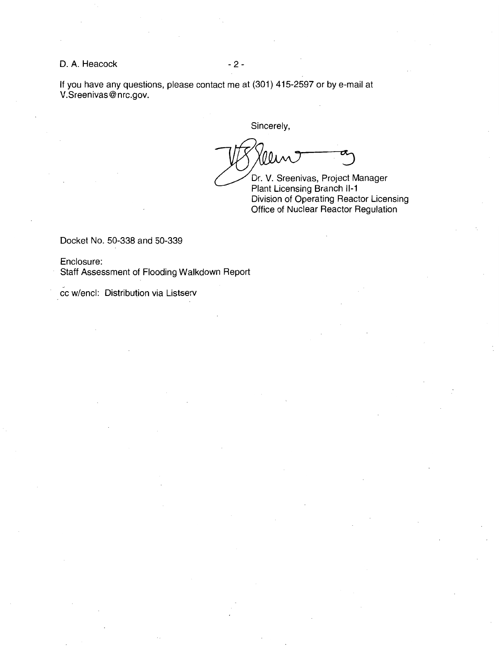## D. A. Heacock - 2 -

If you have any questions, please contact me at (301) 415-2597 or by e-mail at V.Sreenivas@ nrc.gov.

Sincerely,

Dr. V. Sreenivas, Project Manager Plant Licensing Branch **11-1**  Division of Operating Reactor Licensing Office of Nuclear Reactor Regulation

Docket No. 50-338 and 50-339

Enclosure: Staff Assessment of Flooding Walkdown Report

cc w/encl: Distribution via Listserv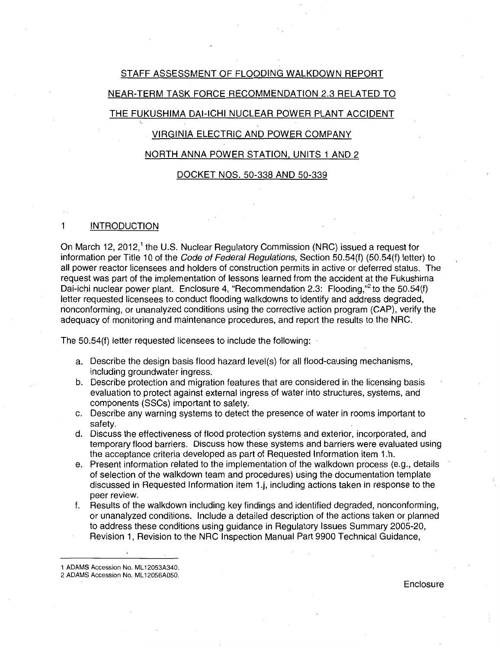# STAFF ASSESSMENT OF FLOODING WALKDOWN REPORT NEAR-TERM TASK FORCE RECOMMENDATION 2.3 RELATED TO

# THE FUKUSHIMA DAI-ICHI NUCLEAR POWER PLANT ACCIDENT

# VIRGINIA ELECTRIC AND POWER COMPANY

## NORTH ANNA POWER STATION, UNITS 1 AND 2

## DOCKET NOS. 50-338 AND 50-339

# 1 INTRODUCTION

On March 12, 2012,<sup>1</sup> the U.S. Nuclear Regulatory Commission (NRC) issued a request for information per Title 10 of the Code of Federal Regulations, Section 50.54(f) (50.54(f) letter) to all power reactor licensees and holders of construction permits in active or deferred status. The request was part of the implementation of lessons learned from the accident at the Fukushima Dai-ichi nuclear power plant. Enclosure 4, "Recommendation 2.3: Flooding," to the 50.54(f) letter requested licensees to conduct flooding walkdowns to identify and address degraded, nonconforming, or unanalyzed conditions using the corrective action program (CAP), verify the adequacy of monitoring and maintenance procedures, and report the results to the NRC.

The 50.54{f) letter requested licensees to include the following:

- a. Describe the design basis flood hazard level(s) for all flood-causing mechanisms, including groundwater ingress.
- b. Describe protection and migration features that are considered in the licensing basis evaluation to protect against external ingress of water into structures, systems, and components (SSCs) important to safety.
- c. Describe any warning systems to detect the presence of water in rooms important to safety.
- d. Discuss the effectiveness of flood protection systems and exterior, incorporated, and temporary flood barriers. Discuss how these systems and barriers were evaluated using the acceptance criteria developed as part of Requested Information item 1.h.
- e. Present information related to the implementation of the walkdown process (e.g., details of selection of the walkdown team and procedures) using the documentation template discussed in Requested Information item 1.j, including actions taken in response to the peer review.
- f. Results of the walkdown including key findings and identified degraded, nonconforming, or unanalyzed conditions. Include a detailed description of the actions taken or planned to address these conditions using guidance in Regulatory Issues Summary 2005-20, Revision 1, Revision to the NRC Inspection Manual Part 9900 Technical Guidance,

**Enclosure** 

<sup>1</sup> ADAMS Accession No. ML 12053A340.

<sup>2</sup> ADAMS Accession No. ML 12056A050.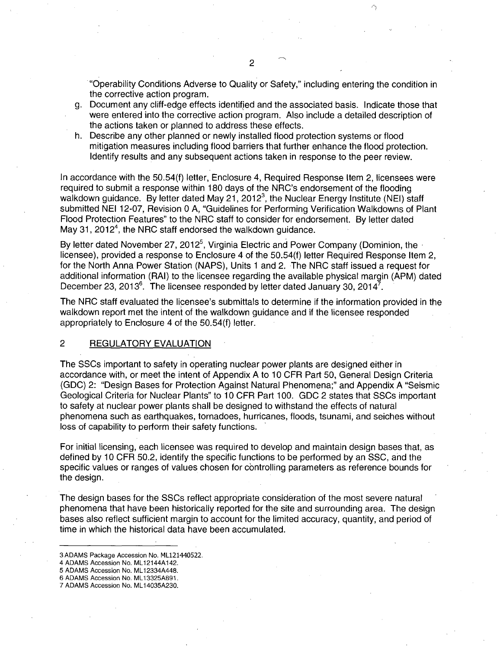"Operability Conditions Adverse to Quality or Safety," including entering the condition in the corrective action program.

- g. Document any cliff-edge effects identified and the associated basis. Indicate those that were entered into the corrective action program. Also include a detailed description of the actions taken or planned to address these effects.
- h. Describe any other planned or newly installed flood protection systems or flood mitigation measures including flood barriers that further enhance the flood protection. Identify results and any subsequent actions taken in response to the peer review.

In accordance with the 50.54(f) letter, Enclosure 4, Required Response Item 2, licensees were required to submit a response within 180 days of the NRC's endorsement of the flooding walkdown guidance. By letter dated May 21, 2012<sup>3</sup>, the Nuclear Energy Institute (NEI) staff submitted NEI 12-07, Revision 0 A, "Guidelines for Performing Verification Walkdowns of Plant Flood Protection Features" to the NRC staff to consider for endorsement. By letter dated May 31, 2012<sup>4</sup>, the NRC staff endorsed the walkdown guidance.

By letter dated November 27, 2012<sup>5</sup>, Virginia Electric and Power Company (Dominion, the  $\cdot$ licensee), provided a response to Enclosure 4 of the 50.54(f) letter Required Response Item 2, for the North Anna Power Station (NAPS), Units 1 and 2. The NRC staff issued a request for additional information (RAI) to the licensee regarding the available physical margin (APM) dated December 23, 2013 $^6$ . The licensee responded by letter dated January 30, 2014 $^7$ .

The NRC staff evaluated the licensee's submittals to determine if the information provided in the walkdown report met the intent of the walkdown guidance and if the licensee responded appropriately to Enclosure 4 of the 50.54(f) letter.

## 2 REGULATORY EVALUATION

The SSCs important to safety in operating nuclear power plants are designed either in accordance with, or meet the intent of Appendix A to 10 CFR Part 50, General Design Criteria (GDC) 2: "Design Bases for Protection Against Natural Phenomena;" and Appendix A "Seismic Geological Criteria for Nuclear Plants" to 10 CFR Part 100. GDC 2 states that SSCs important to safety at nuclear power plants shall be designed to withstand the effects of natural phenomena such as earthquakes, tornadoes, hurricanes, floods, tsunami, and seiches without loss of capability to perform their safety functions.

For initial licensing, each licensee was required to develop and maintain design bases that, as defined by 10 CFR 50.2, identify the specific functions to be performed by an SSC, and the specific values or ranges of values chosen for controlling parameters as reference bounds for the design.

The design bases for the SSCs reflect appropriate consideration of the most severe natural phenomena that have been historically reported for the site and surrounding area. The design bases also reflect sufficient margin to account for the limited accuracy, quantity, and period of time in which the historical data have been accumulated.

<sup>3</sup>ADAMS Package Accession No. ML121440522.

<sup>4</sup> ADAMS Accession No. ML 12144A 142.

<sup>5</sup> ADAMS Accession No. ML 12334A448.

<sup>6</sup> ADAMS Accession No. ML 13325AB91.

<sup>7</sup> ADAMS Accession No. ML 14035A230.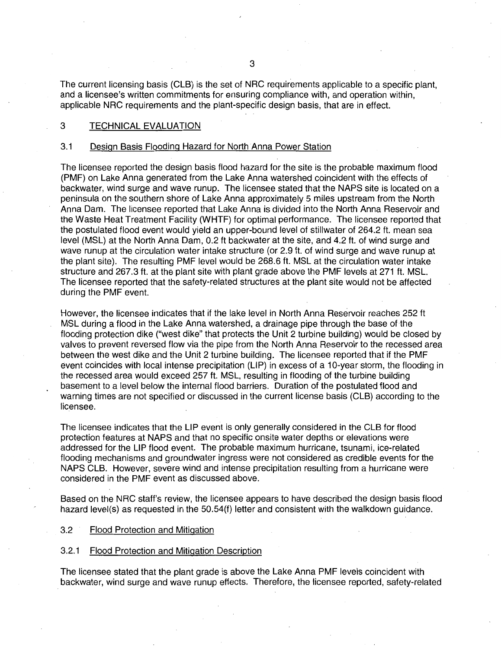The current licensing basis (CLB) is the set of NRC requirements applicable to a specific plant, and a licensee's written commitments for ensuring compliance with, and operation within, applicable NRC requirements and the plant-specific design basis, that are in effect.

## 3 TECHNICAL EVALUATION

## 3.1 Design Basis Flooding Hazard for North Anna Power Station

The licensee reported the design basis flood hazard for the site is the probable maximum flood (PMF) on Lake Anna generated from the Lake Anna watershed coincident with the effects of backwater, wind surge and wave runup. The licensee stated that the NAPS site is located on a peninsula on the southern shore of Lake Anna approximately 5 miles upstream from the North Anna Dam. The licensee reported that Lake Anna is divided into the North Anna Reservoir and the Waste Heat Treatment Facility (WHTF) for optimal performance. The licensee reported that the postulated flood event would yield an upper-bound level of stillwater of 264.2 ft. mean sea level (MSL) at the North Anna Dam, 0.2 ft backwater at the site, and 4.2 ft. of wind surge and wave runup at the circulation water intake structure (or 2.9 ft. of wind surge and wave runup at the plant site). The resulting PMF level would be 268.6 ft. MSL at the circulation water intake structure and 267.3 ft. at the plant site with plant grade above the PMF levels at 271 ft. MSL. The licensee reported that the safety-related structures at the plant site would not be affected during the PMF event.

However, the licensee indicates that if the lake level in North Anna Reservoir reaches 252 ft MSL during a flood in the Lake Anna watershed, a drainage pipe through the base of the flooding protection dike ("west dike" that protects the Unit 2 turbine building) would be closed by valves to prevent reversed flow via the pipe from the North Anna Reservoir to the recessed area between the west dike and the Unit 2 turbine building. The licensee reported that if the PMF event coincides with local intense precipitation (LIP) in excess of a 1 0-year storm, the flooding in the recessed area would exceed 257 ft. MSL, resulting in flooding of the turbine building basement to a level below the internal flood barriers. Duration of the postulated flood and warning times are not specified or discussed in the current license basis (CLB) according to the licensee.

The licensee indicates that the LIP event is only generally considered in the CLB for flood protection features at NAPS and that no specific onsite water depths or elevations were addressed for the LIP flood event. The probable maximum hurricane, tsunami, ice-related flooding mechanisms and groundwater ingress were not considered as credible events for the NAPS CLB. However, severe wind and intense precipitation resulting from a hurricane were considered in the PMF event as discussed above.

Based on the NRC staff's review, the licensee appears to have described the design basis flood hazard level(s) as requested in the 50.54(f) letter and consistent with the walkdown guidance.

## 3.2 Flood Protection and Mitigation

## 3.2.1 Flood Protection and Mitigation Description

The licensee stated that the plant grade is above the Lake Anna PMF levels coincident with backwater, wind surge and wave runup effects. Therefore, the licensee reported, safety-related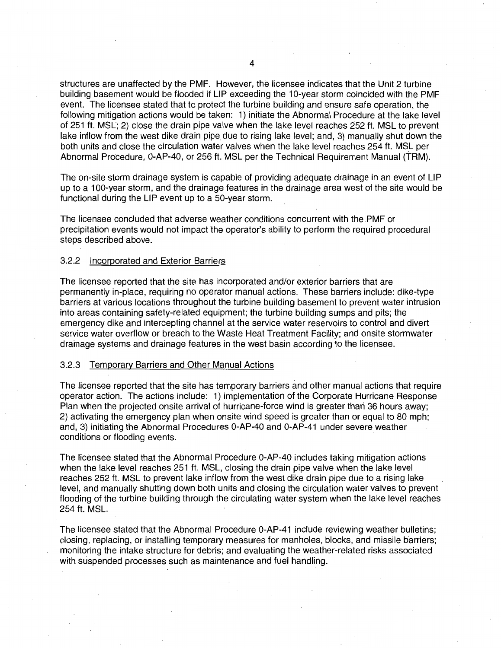structures are unaffected by the PMF. However, the licensee indicates that the Unit 2 turbine building basement would be flooded if LIP exceeding the 10-year storm coincided with the PMF event. The licensee stated that to protect the turbine building and ensure safe operation, the following mitigation actions would be taken: 1) initiate the Abnormal Procedure at the lake level of 251 ft. MSL; 2) close the drain pipe valve when the lake level reaches 252ft. MSL to prevent lake inflow from the west dike drain pipe due to rising lake level; and, 3) manually shut down the both units and close the circulation water valves when the lake level reaches 254 ft. MSL per Abnormal Procedure, 0-AP-40, or 256 ft. MSL per the Technical Requirement Manual (TRM).

The on-site storm drainage system is capable of providing adequate drainage in an event of LIP up to a 1 00-year storm, and the drainage features in the drainage area west of the site would be functional during the LIP event up to a 50-year storm.

The licensee concluded that adverse weather conditions concurrent with the PMF or precipitation events would not impact the operator's ability to perform the required procedural steps described above.

## 3.2.2 Incorporated and Exterior Barriers

The licensee reported that the site has incorporated and/or exterior barriers that are permanently in-place, requiring no operator manual actions. These barriers include: dike-type barriers at various locations throughout the turbine building basement to prevent water intrusion into areas containing safety-related equipment; the turbine building sumps and pits; the emergency dike and intercepting channel at the service water reservoirs to control and divert service water overflow or breach to the Waste Heat Treatment Facility; and onsite stormwater drainage systems and drainage features in the west basin according to the licensee.

## 3.2.3 Temporary Barriers and Other Manual Actions

The licensee reported that the site has temporary barriers and other manual actions that require operator action. The actions include: 1) implementation of the Corporate Hurricane Response Plan when the projected onsite arrival of hurricane-force wind is greater than 36 hours away: 2) activating the emergency plan when onsite wind speed is greater than or equal to 80 mph; and, 3) initiating the Abnormal Procedures 0-AP-40 and 0-AP-41 under severe weather conditions or flooding events.

The licensee stated that the Abnormal Procedure 0-AP-40 includes taking mitigation actions when the lake level reaches 251 ft. MSL, closing the drain pipe valve when the lake level reaches 252 ft. MSL to prevent lake inflow from the west dike drain pipe due to a rising lake level, and manually shutting down both units and closing the circulation water valves to prevent flooding of the turbine building through the circulating water system when the lake level reaches 254 ft. MSL.

The licensee stated that the Abnormal Procedure 0-AP-41 include reviewing weather bulletins; closing, replacing, or installing temporary measures for manholes, blocks, and missile barriers; monitoring the intake structure for debris; and evaluating the weather-related risks associated with suspended processes such as maintenance and fuel handling.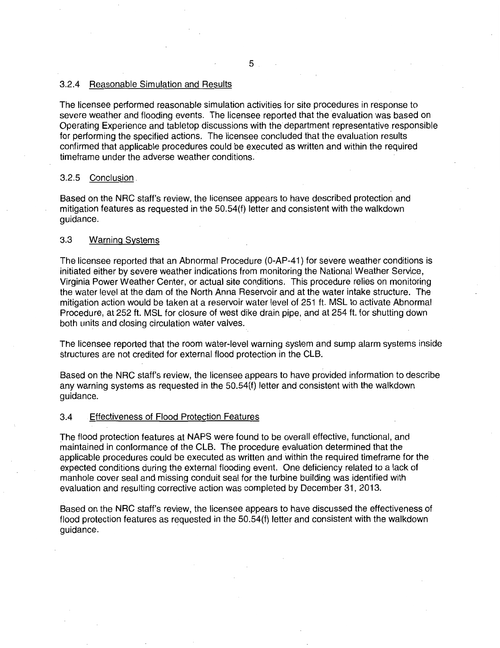## 3.2.4 Reasonable Simulation and Results

The licensee performed reasonable simulation activities for site procedures in response to severe weather and flooding events. The licensee reported that the evaluation was based on Operating Experience and tabletop discussions with the department representative responsible for performing the specified actions. The licensee concluded that the evaluation results confirmed that applicable procedures could be executed as written and within the required timeframe under the adverse weather conditions.

## 3.2.5 Conclusion .

Based on the NRC staff's review, the licensee appears to have described protection and mitigation features as requested in the 50.54(f) letter and consistent with the walkdown guidance.

## 3.3 Warning Systems

The licensee reported that an Abnormal Procedure (0-AP-41) for severe weather conditions is initiated either by severe weather indications from monitoring the National Weather Service, Virginia Power Weather Center, or actual site conditions. This procedure relies on monitoring the water level at the dam of the North Anna Reservoir and at the water intake structure. The mitigation action would be taken at a reservoir water level of 251 ft. MSL to activate Abnormal Procedure, at 252 ft. MSL for closure of west dike drain pipe, and at 254 ft. for shutting down both units and closing circulation water valves.

The licensee reported that the room water-level warning system and sump alarm systems inside structures are not credited for external flood protection in the CLB.

Based on the NRC staff's review, the licensee appears to have provided information to describe any warning systems as requested in the 50.54(f) letter and consistent with the walkdown guidance.

## 3.4 Effectiveness of Flood Protection Features

The flood protection features at NAPS were found to be overall effective, functional, and maintained in conformance of the CLB. The procedure evaluation determined that the applicable procedures could be executed as written and within the required timeframe for the expected conditions during the external flooding event. One deficiency related to a lack of manhole cover seal and missing conduit seal for the turbine building was identified with evaluation and resulting corrective action was completed by December 31, 2013.

Based on the NRC staff's review, the licensee appears to have discussed the effectiveness of flood protection features as requested in the 50.54(f) letter and consistent with the walkdown quidance.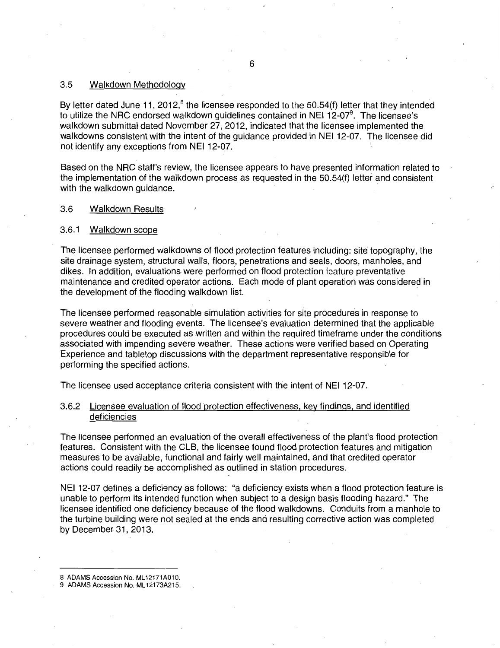## 3.5 Walkdown Methodology

By letter dated June 11, 2012, $^8$  the licensee responded to the 50.54(f) letter that they intended to utilize the NRC endorsed walkdown guidelines contained in NEI 12-07<sup>9</sup>. The licensee's walkdown submittal dated November 27, 2012, indicated that the licensee implemented the walkdowns consistent with the intent of the guidance provided in NEI 12-07. The licensee did not identify any exceptions from NEI 12-07.

Based on the NRC staff's review, the licensee appears to have presented information related to the implementation of the walkdown process as requested in the 50.54(f) letter and consistent with the walkdown quidance.

## 3.6 Walkdown Results

## 3.6.1 Walkdown scope

The licensee performed walkdowns of flood protection features including: site topography, the site drainage system, structural walls, floors, penetrations and seals, doors, manholes, and dikes. In addition, evaluations were performed on flood protection feature preventative maintenance and credited operator actions. Each mode of plant operation was considered in the development of the flooding walkdown list.

The licensee performed reasonable simulation activities for site procedures in response to severe weather and flooding events. The licensee's evaluation determined that the applicable procedures could be executed as written and within the required timeframe under the conditions associated with impending severe weather. These actions were verified based on Operating Experience and tabletop discussions with the department representative responsible for performing the specified actions.

The licensee used acceptance criteria consistent with the intent of NEI 12-07.

## 3.6.2 Licensee evaluation of flood protection effectiveness, key findings, and identified deficiencies

The licensee performed an evaluation of the overall effectiveness of the plant's flood protection features. Consistent with the CLB, the licensee found flood protection features and mitigation measures to be available, functional and fairly well maintained, and that credited operator actions could readily be accomplished as outlined in station procedures.

NEI 12~07 defines a deficiency as follows: "a deficiency exists when a flood protection feature is unable to perform its intended function when subject to a design basis flooding hazard." The licensee identified one deficiency because of the flood walkdowns. Conduits from a manhole to the turbine building were not sealed at the ends and resulting corrective action was completed by December 31, 2013.

8 ADAMS Accession No. ML12171A010.

<sup>9</sup> ADAMS Accession No. ML 12173A215.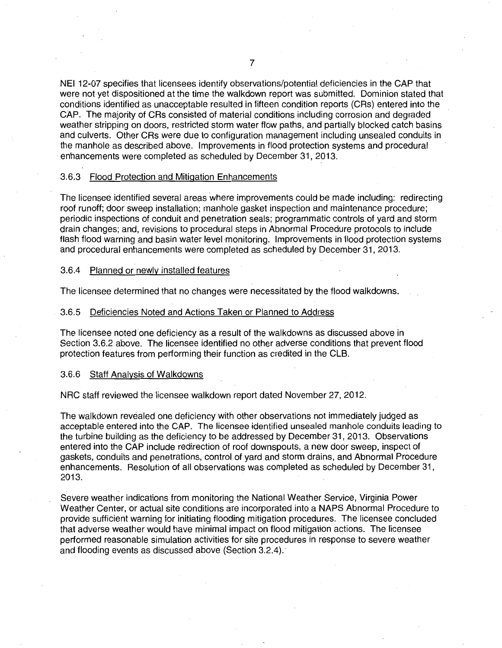NEI 12-07 specifies that licensees identify observations/potential deficiencies in the CAP that were not yet dispositioned at the time the walkdown report was submitted. Dominion stated that conditions identified as unacceptable resulted in fifteen condition reports (CRs) entered into the CAP. The majority of CRs consisted of material conditions including corrosion and degraded weather stripping on doors, restricted storm water flow paths, and partially blocked catch basins and culverts. Other CRs were due to configuration management including unsealed conduits in the manhole as described above. Improvements in flood protection systems and procedural enhancements were completed as scheduled by December 31, 2013.

#### 3.6.3 Flood Protection and Mitigation Enhancements

The licensee identified several areas where improvements could be made including: redirecting roof runoff; door sweep installation; manhole gasket inspection and maintenance procedure; periodic inspections of conduit and penetration seals; programmatic controls of yard and storm drain changes; and, revisions to procedural steps in Abnormal Procedure protocols to include flash flood warning and basin water level monitoring. Improvements in flood protection systems and procedural enhancements were completed as scheduled by December 31, 2013.

## 3.6.4 Planned or newly installed features

The licensee determined that no changes were necessitated by the flood walkdowns.

#### 3.6.5 Deficiencies Noted and Actions Taken or Planned to Address

The licensee noted one deficiency as a result of the walkdowns as discussed above in Section 3.6.2 above. The licensee identified no other adverse conditions that prevent flood protection features from performing their function as credited in the CLB.

#### 3.6.6 Staff Analysis of Walkdowns

NRC staff reviewed the licensee walkdown report dated November 27, 2012.

The walkdown revealed one deficiency with other observations not immediately judged as acceptable entered into the CAP. The licensee identified unsealed manhole conduits leading to the turbine building as the deficiency to be addressed by December 31, 2013. Observations entered into the CAP include redirection of roof downspouts, a new door sweep, inspect of gaskets, conduits and penetrations, control of yard and storm drains, and Abnormal Procedure enhancements. Resolution of all observations was completed as scheduled by December 31, 2013.

Severe weather indications from monitoring the National Weather Service, Virginia Power Weather Center, or actual site conditions are incorporated into a NAPS Abnormal Procedure to provide sufficient warning for initiating flooding mitigation procedures. The licensee concluded that adverse weather would have minimal impact on flood mitigation actions. The licensee performed reasonable simulation activities for site procedures in response to severe weather and flooding events as discussed above (Section 3.2.4).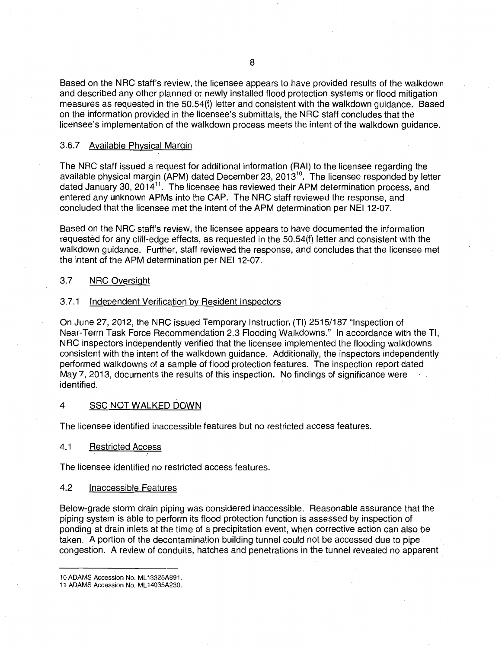Based on the NRC staff's review, the licensee appears to have provided results of the walkdown and described any other planned or newly installed flood protection systems or flood mitigation measures as requested in the 50.54(f) letter and consistent with the walkdown guidance. Based on the information provided in the licensee's submittals, the NRC staff concludes that the licensee's implementation of the walkdown process meets the intent of the walkdown guidance.

## 3.6.7 Available Physical Margin

The NRC staff issued a request for additional information (RAI) to the licensee regarding the available physical margin (APM) dated December 23, 2013 $^{10}$ . The licensee responded by letter dated January 30, 2014<sup>11</sup>. The licensee has reviewed their APM determination process, and entered any unknown APMs into the CAP. The NRC staff reviewed the response, and concluded that the licensee met the intent of the APM determination per NEI 12-07.

Based on the NRC staff's review, the licensee appears to have documented the information requested for any cliff-edge effects, as requested in the 50.54(f) letter and consistent with the walkdown guidance. Further, staff reviewed the response, and concludes that the licensee met the intent of the APM determination per NEI 12-07.

## 3.7 NRC Oversight

## 3.7.1 Independent Verification by Resident Inspectors

On June 27, 2012, the NRC issued Temporary Instruction (TI) 2515/187 "Inspection of Near-Term Task Force Recommendation 2.3 Flooding Walkdowns." In accordance with the TI, NRC inspectors independently verified that the licensee implemented the flooding walkdowns consistent with the intent of the walkdown guidance. Additionally, the inspectors independently performed walkdowns of a sample of flood protection features. The inspection report dated May 7, 2013, documents the results of this inspection. No findings of significance were identified.

#### 4 SSC NOT WALKED DOWN

The licensee identified inaccessible features but no restricted access features.

## 4.1 Restricted Access

The licensee identified no restricted access features.

## 4.2 Inaccessible Features

Below-grade storm drain piping was considered inaccessible. Reasonable assurance that the piping system is able to perform its flood protection function is assessed by inspection of ponding at drain inlets at the time of a precipitation event, when corrective action can also be taken. A portion of the decontamination building tunnel could not be accessed due to pipe congestion. A review of conduits, hatches and penetrations in the tunnel revealed no apparent

<sup>10</sup> ADAMS Accession No. ML 13325A891.

<sup>11</sup> ADAMS Accession No. ML 14035A230.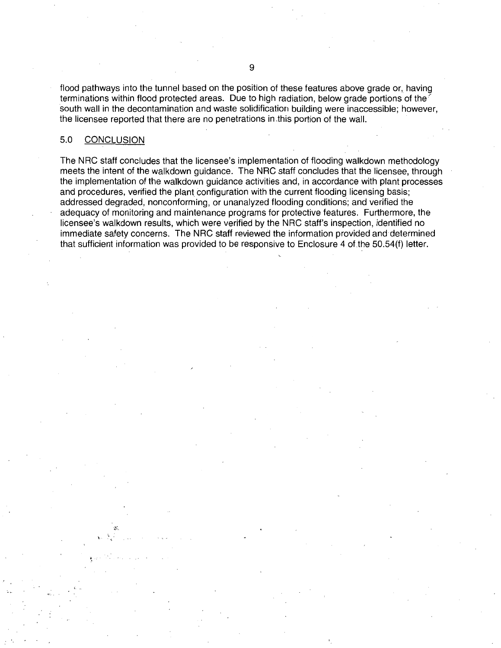flood pathways into the tunnel based on the position of these features above grade or, having terminations within flood protected areas. Due to high radiation, below grade portions of the south wall in the decontamination and waste solidification building were inaccessible; however, the licensee reported that there are no penetrations in .this portion of the wall.

## 5.0 CONCLUSION

·~/-·.

The NRC staff concludes that the licensee's implementation of flooding walkdown methodology meets the intent of the walkdown guidance. The NRC staff concludes that the licensee, through the implementation of the walkdown guidance activities and, in accordance with plant processes and procedures, verified the plant configuration with the current flooding licensing basis; addressed degraded, nonconforming, or unanalyzed flooding conditions; and verified the adequacy of monitoring and maintenance programs for protective features. Furthermore, the licensee's walkdown results, which were verified by the NRC staff's inspection, identified no immediate safety concerns. The NRC staff reviewed the information provided and determined that sufficient information was provided to be responsive to Enclosure 4 of the 50.54(f) letter.